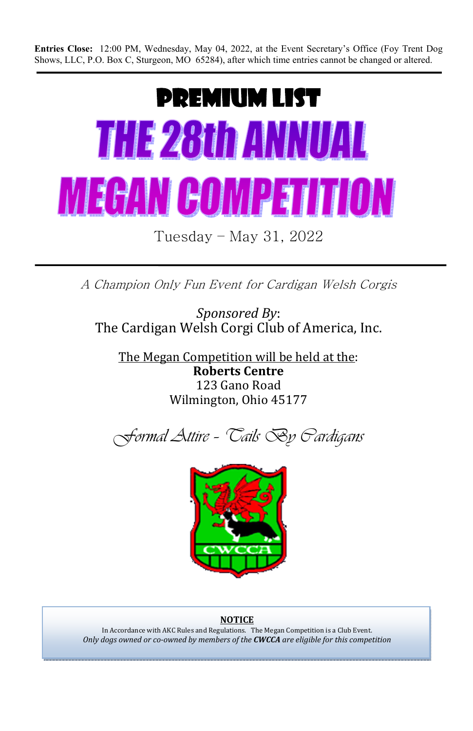**Entries Close:** 12:00 PM, Wednesday, May 04, 2022, at the Event Secretary's Office (Foy Trent Dog Shows, LLC, P.O. Box C, Sturgeon, MO 65284), after which time entries cannot be changed or altered.

# PREMIUM LIST THE 28th ANNUAL **MEGAN COMPETITION**

Tuesday – May 31, 2022

A Champion Only Fun Event for Cardigan Welsh Corgis

*Sponsored By*: The Cardigan Welsh Corgi Club of America, Inc.

The Megan Competition will be held at the: **Roberts Centre**  123 Gano Road Wilmington, Ohio 45177





#### **NOTICE**

In Accordance with AKC Rules and Regulations. The Megan Competition is a Club Event. *Only dogs owned or co-owned by members of the CWCCA are eligible for this competition*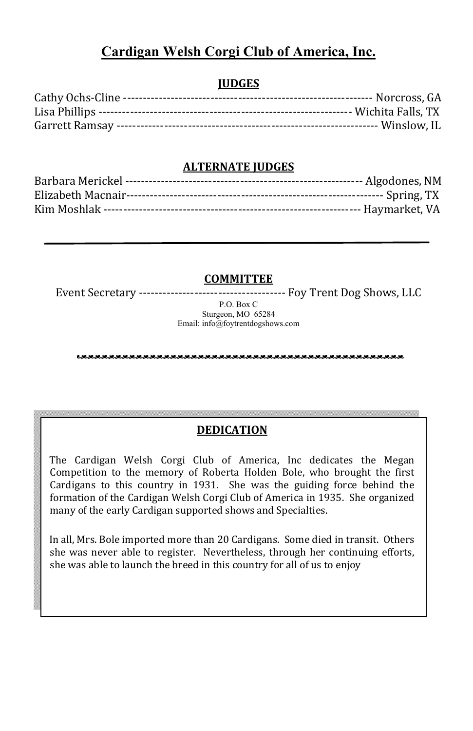# **Cardigan Welsh Corgi Club of America, Inc.**

## **JUDGES**

## **ALTERNATE JUDGES**

**COMMITTEE** 

Event Secretary ------------------------------------- Foy Trent Dog Shows, LLC

P.O. Box C Sturgeon, MO 65284 Email: info@foytrentdogshows.com

## **DEDICATION**

The Cardigan Welsh Corgi Club of America, Inc dedicates the Megan Competition to the memory of Roberta Holden Bole, who brought the first Cardigans to this country in 1931. She was the guiding force behind the formation of the Cardigan Welsh Corgi Club of America in 1935. She organized many of the early Cardigan supported shows and Specialties.

In all, Mrs. Bole imported more than 20 Cardigans. Some died in transit. Others she was never able to register. Nevertheless, through her continuing efforts, she was able to launch the breed in this country for all of us to enjoy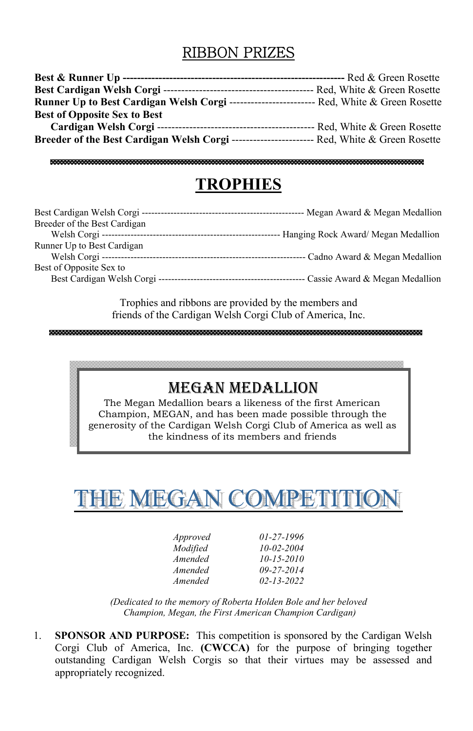# RIBBON PRIZES

| <b>Runner Up to Best Cardigan Welsh Corgi ------------------------------ Red, White &amp; Green Rosette</b> |  |
|-------------------------------------------------------------------------------------------------------------|--|
| <b>Best of Opposite Sex to Best</b>                                                                         |  |
|                                                                                                             |  |
| <b>Breeder of the Best Cardigan Welsh Corgi ---------------------------- Red, White &amp; Green Rosette</b> |  |

# **TROPHIES**

| Breeder of the Best Cardigan |  |
|------------------------------|--|
|                              |  |
| Runner Up to Best Cardigan   |  |
|                              |  |
| Best of Opposite Sex to      |  |
|                              |  |

Trophies and ribbons are provided by the members and friends of the Cardigan Welsh Corgi Club of America, Inc.

# MEGAN MEDALLION

The Megan Medallion bears a likeness of the first American Champion, MEGAN, and has been made possible through the generosity of the Cardigan Welsh Corgi Club of America as well as the kindness of its members and friends

THE MEGAN COMPETITIO

| Approved | $01-27-1996$     |
|----------|------------------|
| Modified | $10 - 02 - 2004$ |
| Amended  | $10 - 15 - 2010$ |
| Amended  | $09 - 27 - 2014$ |
| Amended  | $02 - 13 - 2022$ |

*(Dedicated to the memory of Roberta Holden Bole and her beloved Champion, Megan, the First American Champion Cardigan)* 

1. **SPONSOR AND PURPOSE:** This competition is sponsored by the Cardigan Welsh Corgi Club of America, Inc. **(CWCCA)** for the purpose of bringing together outstanding Cardigan Welsh Corgis so that their virtues may be assessed and appropriately recognized.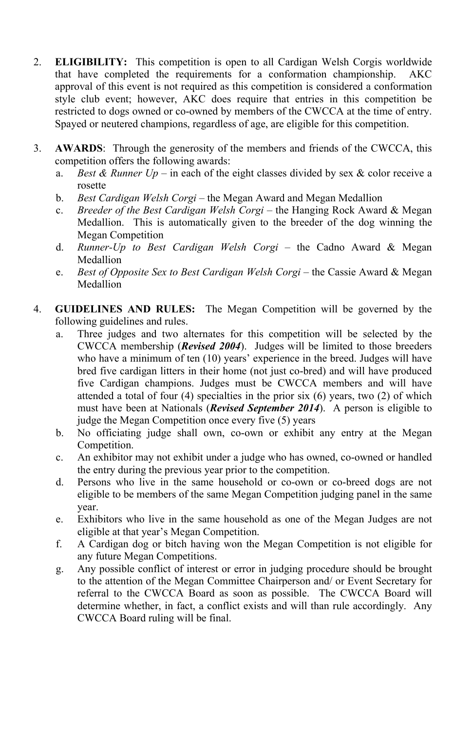- 2. **ELIGIBILITY:** This competition is open to all Cardigan Welsh Corgis worldwide that have completed the requirements for a conformation championship. AKC approval of this event is not required as this competition is considered a conformation style club event; however, AKC does require that entries in this competition be restricted to dogs owned or co-owned by members of the CWCCA at the time of entry. Spayed or neutered champions, regardless of age, are eligible for this competition.
- 3. **AWARDS**: Through the generosity of the members and friends of the CWCCA, this competition offers the following awards:
	- a. *Best & Runner Up –* in each of the eight classes divided by sex & color receive a rosette
	- b. *Best Cardigan Welsh Corgi* the Megan Award and Megan Medallion
	- c. *Breeder of the Best Cardigan Welsh Corgi* the Hanging Rock Award & Megan Medallion. This is automatically given to the breeder of the dog winning the Megan Competition
	- d. *Runner-Up to Best Cardigan Welsh Corgi* the Cadno Award & Megan Medallion
	- e. *Best of Opposite Sex to Best Cardigan Welsh Corgi* the Cassie Award & Megan **Medallion**
- 4. **GUIDELINES AND RULES:** The Megan Competition will be governed by the following guidelines and rules.
	- a. Three judges and two alternates for this competition will be selected by the CWCCA membership (*Revised 2004*). Judges will be limited to those breeders who have a minimum of ten (10) years' experience in the breed. Judges will have bred five cardigan litters in their home (not just co-bred) and will have produced five Cardigan champions. Judges must be CWCCA members and will have attended a total of four (4) specialties in the prior six (6) years, two (2) of which must have been at Nationals (*Revised September 2014*). A person is eligible to judge the Megan Competition once every five (5) years
	- b. No officiating judge shall own, co-own or exhibit any entry at the Megan Competition.
	- c. An exhibitor may not exhibit under a judge who has owned, co-owned or handled the entry during the previous year prior to the competition.
	- d. Persons who live in the same household or co-own or co-breed dogs are not eligible to be members of the same Megan Competition judging panel in the same year.
	- e. Exhibitors who live in the same household as one of the Megan Judges are not eligible at that year's Megan Competition.
	- f. A Cardigan dog or bitch having won the Megan Competition is not eligible for any future Megan Competitions.
	- g. Any possible conflict of interest or error in judging procedure should be brought to the attention of the Megan Committee Chairperson and/ or Event Secretary for referral to the CWCCA Board as soon as possible. The CWCCA Board will determine whether, in fact, a conflict exists and will than rule accordingly. Any CWCCA Board ruling will be final.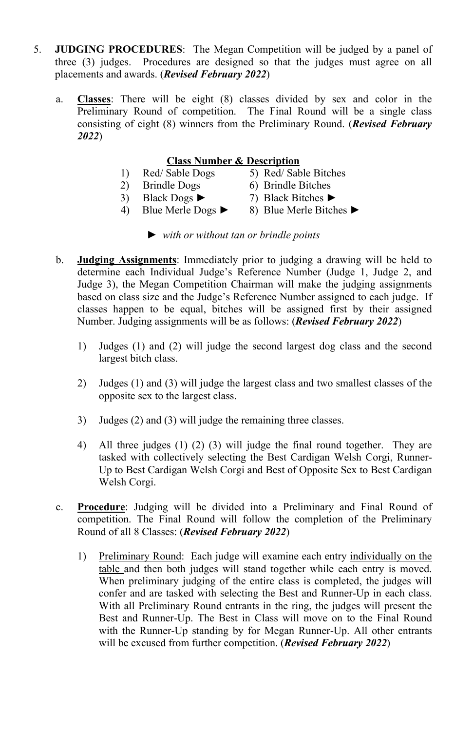- 5. **JUDGING PROCEDURES**: The Megan Competition will be judged by a panel of three (3) judges. Procedures are designed so that the judges must agree on all placements and awards. (*Revised February 2022*)
	- a. **Classes**: There will be eight (8) classes divided by sex and color in the Preliminary Round of competition. The Final Round will be a single class consisting of eight (8) winners from the Preliminary Round. (*Revised February 2022*)

#### **Class Number & Description**

- 1) Red/ Sable Dogs 5) Red/ Sable Bitches
- 2) Brindle Dogs 6) Brindle Bitches
- 
- 
- 3) Black Dogs **►** 7) Black Bitches **►**
	-
- 4) Blue Merle Dogs **►** 8) Blue Merle Bitches **►**
	-
	- *► with or without tan or brindle points*
- b. **Judging Assignments**: Immediately prior to judging a drawing will be held to determine each Individual Judge's Reference Number (Judge 1, Judge 2, and Judge 3), the Megan Competition Chairman will make the judging assignments based on class size and the Judge's Reference Number assigned to each judge. If classes happen to be equal, bitches will be assigned first by their assigned Number. Judging assignments will be as follows: (*Revised February 2022*)
	- 1) Judges (1) and (2) will judge the second largest dog class and the second largest bitch class.
	- 2) Judges (1) and (3) will judge the largest class and two smallest classes of the opposite sex to the largest class.
	- 3) Judges (2) and (3) will judge the remaining three classes.
	- 4) All three judges (1) (2) (3) will judge the final round together. They are tasked with collectively selecting the Best Cardigan Welsh Corgi, Runner-Up to Best Cardigan Welsh Corgi and Best of Opposite Sex to Best Cardigan Welsh Corgi.
- c. **Procedure**: Judging will be divided into a Preliminary and Final Round of competition. The Final Round will follow the completion of the Preliminary Round of all 8 Classes: (*Revised February 2022*)
	- 1) Preliminary Round: Each judge will examine each entry individually on the table and then both judges will stand together while each entry is moved. When preliminary judging of the entire class is completed, the judges will confer and are tasked with selecting the Best and Runner-Up in each class. With all Preliminary Round entrants in the ring, the judges will present the Best and Runner-Up. The Best in Class will move on to the Final Round with the Runner-Up standing by for Megan Runner-Up. All other entrants will be excused from further competition. (*Revised February 2022*)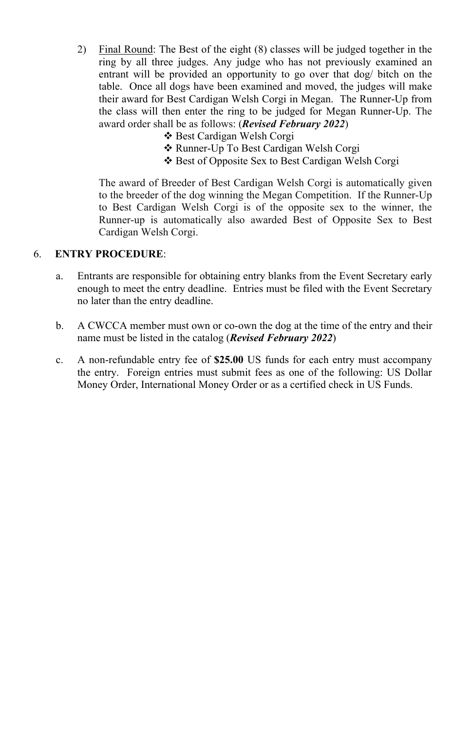- 2) Final Round: The Best of the eight (8) classes will be judged together in the ring by all three judges. Any judge who has not previously examined an entrant will be provided an opportunity to go over that dog/ bitch on the table. Once all dogs have been examined and moved, the judges will make their award for Best Cardigan Welsh Corgi in Megan. The Runner-Up from the class will then enter the ring to be judged for Megan Runner-Up. The award order shall be as follows: (*Revised February 2022*)
	- Best Cardigan Welsh Corgi
	- Runner-Up To Best Cardigan Welsh Corgi
	- Best of Opposite Sex to Best Cardigan Welsh Corgi

The award of Breeder of Best Cardigan Welsh Corgi is automatically given to the breeder of the dog winning the Megan Competition. If the Runner-Up to Best Cardigan Welsh Corgi is of the opposite sex to the winner, the Runner-up is automatically also awarded Best of Opposite Sex to Best Cardigan Welsh Corgi.

#### 6. **ENTRY PROCEDURE**:

- a. Entrants are responsible for obtaining entry blanks from the Event Secretary early enough to meet the entry deadline. Entries must be filed with the Event Secretary no later than the entry deadline.
- b. A CWCCA member must own or co-own the dog at the time of the entry and their name must be listed in the catalog (*Revised February 2022*)
- c. A non-refundable entry fee of **\$25.00** US funds for each entry must accompany the entry. Foreign entries must submit fees as one of the following: US Dollar Money Order, International Money Order or as a certified check in US Funds.